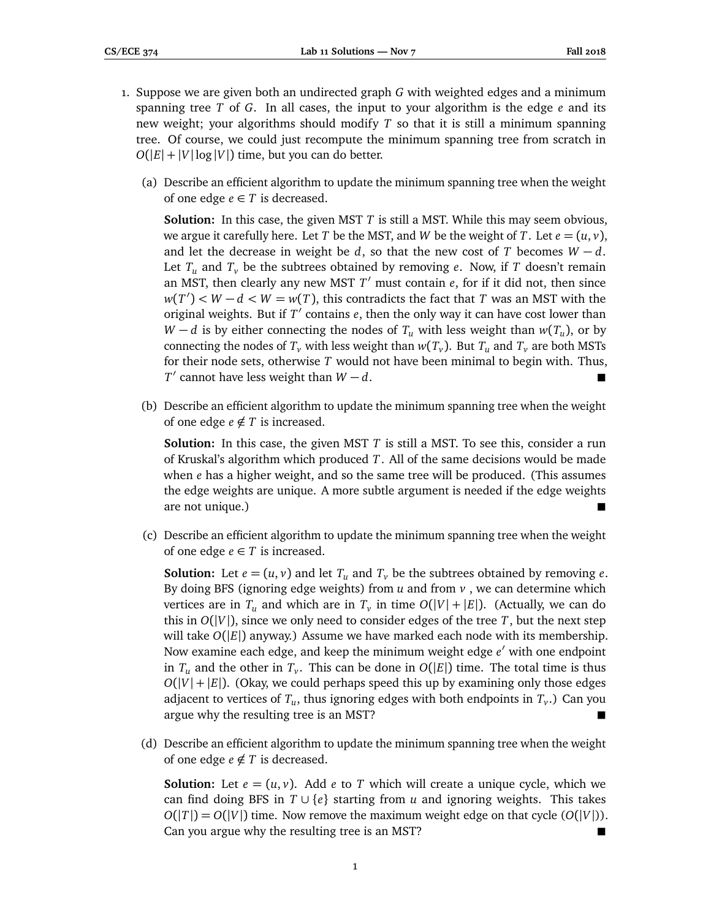- 1. Suppose we are given both an undirected graph *G* with weighted edges and a minimum spanning tree *T* of *G*. In all cases, the input to your algorithm is the edge *e* and its new weight; your algorithms should modify *T* so that it is still a minimum spanning tree. Of course, we could just recompute the minimum spanning tree from scratch in  $O(|E| + |V| \log |V|)$  time, but you can do better.
	- (a) Describe an efficient algorithm to update the minimum spanning tree when the weight of one edge  $e \in T$  is decreased.

**Solution:** In this case, the given MST *T* is still a MST. While this may seem obvious, we argue it carefully here. Let *T* be the MST, and *W* be the weight of *T*. Let  $e = (u, v)$ , and let the decrease in weight be *d*, so that the new cost of *T* becomes  $W - d$ . Let  $T_u$  and  $T_v$  be the subtrees obtained by removing *e*. Now, if *T* doesn't remain an MST, then clearly any new MST  $T'$  must contain  $e$ , for if it did not, then since  $w(T') < W - d < W = w(T)$ , this contradicts the fact that *T* was an MST with the original weights. But if  $T'$  contains  $e$ , then the only way it can have cost lower than *W* − *d* is by either connecting the nodes of  $T_u$  with less weight than  $w(T_u)$ , or by connecting the nodes of  $T_\nu$  with less weight than  $w(T_\nu)$ . But  $T_u$  and  $T_\nu$  are both MSTs for their node sets, otherwise *T* would not have been minimal to begin with. Thus, *T*<sup> $\prime$ </sup> cannot have less weight than *W* − *d*.  $\blacksquare$ 

(b) Describe an efficient algorithm to update the minimum spanning tree when the weight of one edge  $e \notin T$  is increased.

**Solution:** In this case, the given MST *T* is still a MST. To see this, consider a run of Kruskal's algorithm which produced *T*. All of the same decisions would be made when *e* has a higher weight, and so the same tree will be produced. (This assumes the edge weights are unique. A more subtle argument is needed if the edge weights are not unique.)

(c) Describe an efficient algorithm to update the minimum spanning tree when the weight of one edge  $e \in T$  is increased.

**Solution:** Let  $e = (u, v)$  and let  $T_u$  and  $T_v$  be the subtrees obtained by removing *e*. By doing BFS (ignoring edge weights) from *u* and from *v* , we can determine which vertices are in  $T_u$  and which are in  $T_v$  in time  $O(|V| + |E|)$ . (Actually, we can do this in  $O(|V|)$ , since we only need to consider edges of the tree *T*, but the next step will take  $O(|E|)$  anyway.) Assume we have marked each node with its membership. Now examine each edge, and keep the minimum weight edge *e'* with one endpoint in  $T_u$  and the other in  $T_v$ . This can be done in  $O(|E|)$  time. The total time is thus  $O(|V| + |E|)$ . (Okay, we could perhaps speed this up by examining only those edges adjacent to vertices of  $T_u$ , thus ignoring edges with both endpoints in  $T_v$ .) Can you argue why the resulting tree is an MST?

(d) Describe an efficient algorithm to update the minimum spanning tree when the weight of one edge  $e \notin T$  is decreased.

**Solution:** Let  $e = (u, v)$ . Add  $e$  to *T* which will create a unique cycle, which we can find doing BFS in  $T \cup \{e\}$  starting from *u* and ignoring weights. This takes  $O(|T|) = O(|V|)$  time. Now remove the maximum weight edge on that cycle  $(O(|V|))$ . Can you argue why the resulting tree is an MST?